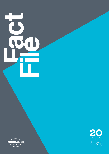# **Fa ct Fie l**



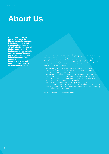# **About Us**

**As the voice of insurance actively promoting the highest standards, Insurance Ireland represents 95% of the domestic market and 70% of Ireland's International life insurance market. This business generates €25bn in premium income (domestic and overseas), directly and indirectly employs 27,000 people, with thousands more in ancillary services and contributes over €1.6bn in tax to the Irish exchequer.** 

Insurance makes a major contribution to Ireland's economic growth and development and is a cornerstone of modern life. One of the most important aspects of insurance is to pay claims to customers at times when they need it most. Each year the insurance industry pays out more than €10bn in claims to Irish customers. As the voice of insurance companies in Ireland, Insurance

- **•** Representing its members' interests to Government, state agencies, regulatory bodies, public representatives, other national interest groups, the media and the general public.
- **•** Representing the position of members at a European level, particularly via Insurance Europe, the European Association for national insurance company representative bodies, and at a global level via the Global Federation of Insurance Associations (GFIA).
- **•** Keeping members abreast of relevant policy and regulatory developments and providing a forum for member debates on such issues.
- **•** Providing information to Government, the wider policy-making community and the public about insurance.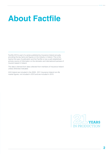# **About Factfile**

Factfile 2013 is part of a series published by Insurance Ireland annually, providing the key facts and figures on the industry in Ireland. This is the twenty-first year of publication and the Factfile is now a well-established primary source of information on the domestic and international business of insurers based in Ireland.

The data is derived from data collected from members of Insurance Ireland unless otherwise indicated.

AXA Ireland are included in the 2009 - 2011 Insurance Ireland non-life market figures, not included in 2012 and are included in 2013.

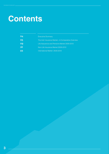# **Contents**

| 04      | <b>Executive Summary</b>                          |
|---------|---------------------------------------------------|
| 05      | The Irish Insurance Market—A Comparative Overview |
| 09      | Life Assurance and Pensions Market 2009-2013      |
| 16      | Non-Life Insurance Market 2009-2013               |
| $22 \,$ | International Market 2009-2013                    |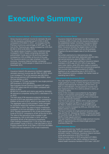# **Executive Summary**

- **•** Gross insurance premium income for domestic life and non-life insurance combined was €11,313m in 2013, compared to  $€10,584$ m in 2012 – an increase of 6.9%.
- **•** Premium income as a percentage of GDP was 7%, up from 6.5%. Premiums per capita increased by 4.5% from €2,352 in 2012 to €2,459 in 2013.
- **•** The capital values of assets in many investment areas increased in 2013. Assets comprising domestic life policyholders' funds and non-life technical reserves increased by 4.6% to €89bn at the end of the year.
- **•** The insurance sector is a major employer in the Irish economy. Insurance Ireland member companies employed over 14,334 people in Ireland as of the end of December 2013.

- **•** Insurance Ireland's life assurance members' aggregate domestic premium income was €8,739m for 2013, which is an increase of 7% on the previous year (€8,150m).
- **•** New annual premium (AP) business was €426m, down 2% from €434m in 2012.
- **•** An increase of 17% was recorded for new single premium (SP) business in 2013 (€5,805m).
- **•** New business Annual Premium Equivalent (AP sales + 10% of SP sales) rose 8% to €1,006m compared with €931m in 2012.
- **•** €8,922.5m in benefits and claims was paid by domestic life assurance companies during 2013, a decrease of 1% on 2012.
- **•** The total value of life assurance protection in force at the end of 2013 was estimated at €371bn, compared to €395bn at the end of 2012, which is a decrease of 6%.
- **•** The aggregate value of policyholders' funds managed by Insurance Ireland life members increased by 4% to €82,309m in 2013. The value of equity investments increased 12.2% from €37,665m in 2012, to €42,273 in 2013. Equities represented 51.4% of total policyholders' funds at 31/12/13, compared to 47.6% at the end of 2012.
- **•** The value of life assurance funds invested in gilts decreased by 10% to €23,359m in 2013, and now represents 28.4% of life assurance investments.
- **•** Cash holdings increased from 11.2% of the total value of policyholders' funds in 2012 to 11.8% (€9,704m) in 2013.
- **•** Property assets fell 8% to €2,758m in 2013 from €2,999m in 2012 and now represent 3.4% of total investments.

- **•** Insurance Ireland's 20 domestic non-life members write in excess of 95% of Irish non-life insurance business in the established market. Combined, Insurance Ireland members wrote gross premiums of €2,574m in 2013.
- **•** Motor insurance remains the largest class of non-life insurance at €1,113m (43% of all non-life business). Property is the second largest class of non-life business  $(33%)$
- **•** Net written premiums (i.e. total premiums after reinsurance costs have been deducted) were €2,149m. Net earned premiums were €2,196m in 2013.
- **•** The number of new claims notified to Insurance Ireland members in 2013 was 441,214. 53% of new claims were motor claims, while 23% were made on property insurance policies (household and commercial property).
- **•** Net incurred claims costs amounted to €1,693m leading to a net underwriting loss in 2013 of €211m. After investment income is added, the market made an operating loss of €81m.

- **•** The vast majority of international premium income is new single premium income. In 2013, the figure for Insurance Ireland's International life members was €12,131m, up 82% on 2012 (€6,657). Annual premium income more than tripled from €101.7m in 2012 to €412m in 2013, an increase of 305%.
- **•** Some of this increase is accounted for by the higher number of companies participating in this statistical exercise, reflecting the increased number of Insurance Ireland international members.
- **•** Over the 5-year period, 2009 to 2013, single premium business has grown by 26% p.a. on average (from €4,790m in 2009 to €12,131m in 2013) whilst annual premium income increased by 50% p.a. (from €81.7m in 2009 to €412m in 2013).
- **•** The top 2 countries for single premium business were Italy and the UK, followed by Sweden, Finland and Spain. EU countries made up 98.5% of total single premium and 99.8% of total regular premium.
- **•** The vast majority of international single premium income (96%) is represented by unit linked single premium business (Class III).

- **•** Insurance Ireland's four health insurance members write approximately 96% of health insurance in the Irish domestic market. Combined, Insurance Ireland members wrote gross premiums of €2,274m in 2013.
- **•** Gross incurred claims in 2013 amounted to €1,956m, while the number of new claims notified to Insurance Ireland health insurance members in 2013 was 1,453,357.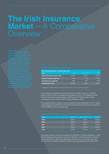# **The Irish Insurance Market**—A Comparative

| 2013 Premium Income - Life and Non-Life |        |          |         |  |  |  |
|-----------------------------------------|--------|----------|---------|--|--|--|
| Year                                    | Life   | Non-Life | Total   |  |  |  |
| Gross Premium Income $(\epsilon m)$     | 8739.0 | 2573.6   | 11312.6 |  |  |  |
| Premium Income: GDP (%)                 | 5.38   | 1.59     | 6.97    |  |  |  |
| Premiums per capita $(\epsilon)$        | 1900   | 559      | 2459    |  |  |  |
| Investments <sup>*</sup> $(\epsilon m)$ | 82309  | 6462     | 88771   |  |  |  |

Gross insurance premium income for life and non-life insurance combined was €11,313m in 2013, compared to €10,584m in 2012 – an increase of 6.9%. Premium income as a percentage of GDP was 7%. Premiums per capita increased by 4.5%, from €2,352 in 2012 to €2,459 in 2013.

The capital values of assets in many investment areas increased in 2013. Assets comprising life policyholders' funds and non-life technical reserves increased by 4.6% to €89bn at the end of the year.

| Year | Life $\epsilon$ m | Non-Life $\epsilon$ m | Total $\epsilon$ m |
|------|-------------------|-----------------------|--------------------|
| 2009 | 9346.4            | 3123.2                | 12469.6            |
| 2010 | 9687.6            | 3035.2                | 12722.8            |
| 2011 | 8485.6            | 2893.7                | 11379.3            |
| 2012 | 8150.2            | 2433.8                | 10584.0            |
| 2013 | 8739.0            | 2573.6                | 11312.6            |

Life gross premium income increased from €9,346m in 2009 to €9,688m in 2010, before falling consecutively for 2 years to €8,150m in 2012 and then increased back to €8,739m in 2013. Non-life gross written premium declined each year from €3,123m in 2009 to €2,434m in 2012 and increased this year to €2,574m.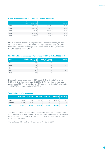# **Gross Premium Income and Domestic Product 2009-2013**

| Year | <b>Gross Insurance</b><br>Premium Income €m | GDP€m  | Premium Income:<br>GDP % |
|------|---------------------------------------------|--------|--------------------------|
| 2009 | 12469.6                                     | 160858 | 7.8%                     |
| 2010 | 12722.8                                     | 159148 | 8.0%                     |
| 2011 | 11379.3                                     | 162600 | 7.0%                     |
| 2012 | 10584.0                                     | 162855 | 6.5%                     |
| 2013 | 11312.6                                     | 162302 | 7.0%                     |

Market combined life and non-life premium income declined each year from €12,470m in 2009 to €10,584m in 2012 and increased this year to €11,313m. Premium income as a percentage of GDP fluctuated over the 5 years from 2009 to 2013, reaching 7% in 2013.

# **Life & Non-Life premiums as a Percentage of GDP for Ireland 2009-2013**

| Year | Life Premium as %<br>of GDP | <b>Non-Life Premium</b><br>as % of GDP | <b>Total %</b> |
|------|-----------------------------|----------------------------------------|----------------|
| 2009 | 5.8                         | 1.9                                    | 7.8            |
| 2010 | 6.1                         | 1.9                                    | 8.0            |
| 2011 | 5.2                         | 1.8                                    | 7.0            |
| 2012 | 5.0                         | 1.5                                    | 6.5            |
| 2013 | 5.4                         | 1.6                                    | 7.0            |

Life premiums as a percentage of GDP rose to 6.1% in 2010, before falling to 5% in 2012 and increased again in 2013 to 5.4%. Non-life premiums as a percentage of GDP remained static at 1.9% from 2009 to 2010, before falling to 1.5% in 2012 and increased to 1.6% in 2013.

# **Year-End Value of Investments**

|          | 2009 €bn | 2010 €bn $ $ | 2011 €bn $ $ | 2012 $\epsilon$ bn |        | 2013 €bn   % Change  <br>p.a. |
|----------|----------|--------------|--------------|--------------------|--------|-------------------------------|
| Life     | 70.015:  | 73.430 :     | 71.838       | 79.208             | 82.309 | 41                            |
| Non-life | 8.742:   | 8.142:       | 7.761        | 5.696:             | 6.462: | $-7.3$                        |
| Total    | 78.757   | 81.572       | 79.599       | 84,904             | 88.771 | 3.0                           |

The value of life policyholders' funds increased from €70bn in 2009 to €82.3bn in 2013, an average growth rate of 4.1% over the period. Non-life technical reserves fell to €5.7bn in 2012, but rose in 2013 to €6.5bn with an average growth rate of -7.3% over the five years.

The total value of life and non-life assets was €88.8bn in 2013.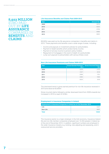

# **Life Assurance Benefits and Claims Paid 2009-2013**

| Year | Amount €m |
|------|-----------|
| 2009 | 8576      |
| 2010 | 8222      |
| 2011 | 8736      |
| 2012 | 8996      |
| 2013 | 8923      |

€8,923m was paid out by life assurance companies in benefits and claims in 2013. These payments and benefits cover a wide range of areas, including:

- **•** Income and payouts on investment policies for policyholders.
- **•** Payment of death benefits which protect family income.
- **•** Payment of annuity income to pension policy holders.
- **•** Repayment of mortgages in the event of death of a policyholder.
- **•** Lump sum payouts to policyholders with serious illness cover.

# **Non-Life Insurance Premiums and Claims 2009-2013**

| Year | <b>Gross Earned Premium</b><br>€m | <b>Gross Incurred Claims</b><br>€m |
|------|-----------------------------------|------------------------------------|
| 2009 | 3208                              | 2750                               |
| 2010 | 3107                              | 2516                               |
| 2011 | 2996                              | 1791                               |
| 2012 | 2485                              | 1585                               |
| 2013 | 2630                              | 1818                               |

The downward trend in gross earned premium for non-life insurance reversed in 2013 and stood at €2,630m

Gross incurred claims followed a similar downward trend from 2009 onwards but increased in 2013 to reach €1,818m.

# **Employment in Insurance Companies in Ireland**

| <b>Employment in Insurance Companies in Ireland as at 31st December 2013</b> |       |  |  |  |
|------------------------------------------------------------------------------|-------|--|--|--|
| Life                                                                         | 5437  |  |  |  |
| Non-Life                                                                     | 8897  |  |  |  |
| <b>Total</b>                                                                 | 14334 |  |  |  |
|                                                                              |       |  |  |  |

The insurance sector is a major employer in the Irish economy. Insurance Ireland life and non-life member companies employed over 14,334 people in Ireland as of the end of December 2013. In addition, significant numbers are employed in the wider insurance industry e.g. broking, loss adjusting and assessing, and in outsourced service providers.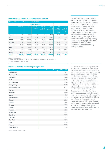# **Irish Insurance Market in an International Context**

| The Irish Insurance Market in the World 2013 |            |            |                               |                                      |                                          |                                                            |                                                               |  |
|----------------------------------------------|------------|------------|-------------------------------|--------------------------------------|------------------------------------------|------------------------------------------------------------|---------------------------------------------------------------|--|
|                                              |            |            |                               |                                      |                                          |                                                            |                                                               |  |
|                                              | Population | <b>GDP</b> | <b>Life Gross</b><br>Premiums | Non-Life<br><b>Gross</b><br>Premiums | Total<br><b>Gross</b><br><b>Premiums</b> | Total<br><b>Gross</b><br>Premiums<br>as % of<br><b>GDP</b> | Total<br><b>Gross</b><br>Premiums<br>Per Capita<br><b>USD</b> |  |
| Ireland                                      | 0.06       | 0.30       | 1.80                          | 0.44                                 | 1.20                                     | 8.00                                                       | 3,783                                                         |  |
| EU                                           | 7.13       | 23.55      | 34.16                         | 29.68                                | 32.20                                    | 7.82                                                       | 2,680                                                         |  |
| <b>OECD</b>                                  | 17.70      | 63.84      | 80.94                         | 82.43                                | 81.60                                    | 7.74                                                       | 2,898                                                         |  |
| <b>Europe</b>                                | 11.43      | 29.61      | 36.30                         | 33.70                                | 35.16                                    | 6.82                                                       | 1,834                                                         |  |
| America*                                     | 13.53      | 33.04      | 25.52                         | 44.41                                | 33.79                                    | 6.42                                                       | 1,627                                                         |  |
| Asia                                         | 59.19      | 32.22      | 34.45                         | 18.71                                | 27.55                                    | 5.37                                                       | 303                                                           |  |
| Oceania                                      | 0.52       | 2.34       | 1.82                          | 2.08                                 | 1.93                                     | 5.19                                                       | 2,429                                                         |  |
| Africa                                       | 15.32      | 2.80       | 1.91                          | 1.11                                 | 1.56                                     | 3.50                                                       | 66                                                            |  |
| <b>World</b>                                 | 100.00     | 100.00     | 100.00                        | 100.00                               | 100.00                                   | 6.28                                                       | 652                                                           |  |

The 2013 Irish insurance market is set in both a European and a global context in this table. As with Ireland's GDP (0.3%), its global share of total gross insurance premiums (1.2%) is high relative to the country's population (0.06%). This reflects the developed market in Ireland for insurance and the relatively high levels of coverage in major classes of business (motor, property, liability, pensions and mortgage protection) compared to other countries, particularly in less economically developed areas.

*Figures are rounded USD*

*Sources: Swiss Re Sigma No 3/2014; CSO; CIA's - The World Factbook and Insurance Ireland*

*\*Includes Latin America and Caribbean*

# **Insurance density: Premiums per capita 2013**

| <b>Country</b>        | Premium Per Capita 2013 (USD) |
|-----------------------|-------------------------------|
| Switzerland           | 7701                          |
| <b>Netherlands</b>    | 6012                          |
| <b>Denmark</b>        | 5780                          |
| <b>Finland</b>        | 5073                          |
| Luxembourg            | 5003                          |
| <b>Hong Kong</b>      | 5002                          |
| <b>United Kingdom</b> | 4561                          |
| Norway                | 4452                          |
| Sweden                | 4320                          |
| Japan                 | 4207                          |
| <b>United States</b>  | 3979                          |
| <b>Taiwan</b>         | 3886                          |
| Ireland               | 3783                          |
| <b>France</b>         | 3736                          |
| Canada                | 3563                          |
| <b>Australia</b>      | 3528                          |
| Singapore             | 3251                          |
| <b>Belgium</b>        | 3235                          |
| Germany               | 2977                          |
| <b>South Korea</b>    | 2895                          |
| Italy                 | 2645                          |
| <b>Austria</b>        | 2604                          |
| <b>New Zealand</b>    | 2423                          |

The premium spent per capita for 2013 in Ireland is compared to some other advanced industrialised countries in this table. The figure for Ireland of US\$3,783 is higher than some other European countries such as Italy and Germany but is also lower than others, such as the United Kingdom and Sweden. A factor which needs to be noted, particularly when making comparisons with other European states, is that countries such as Germany and Sweden have higher taxation rates and more developed social insurance systems. Therefore, a greater proportion of the costs associated with accidents are catered for through the social insurance system. This has an impact on the level of compensation awarded for insurance claims made against insurance companies and ultimately on premium rates and volumes.

*Source: Swiss Re Sigma No 3/2014*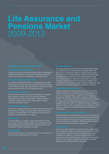# **Life Assurance and Pensions Market**  2009-2013

A policy under which the policyholder makes annual/regular payments of premium to finance life assurance protection cover, or to build up an investment or retirement fund.

An industry standard formula for calculating levels of new life and pensions business over a period of time, to smooth out the effect of large, one-off payments. It's the total of new annual premiums plus 10% of single premiums.

Critical illness insurance pays the policyholder an agreed sum if he/she contracts one of the serious illnesses specified in the policy documentation. Typical illnesses covered include cancer, stroke, heart attack, multiple sclerosis and kidney failure.

This refers to regular premium protection business where the life assurance company representative collects premiums, usually on a weekly basis. The importance of this type of business has declined over the years.

An intermediary is a broker or agent who advises clients about their insurance needs, helps them to select the most appropriate policy and provides an ongoing service in all subsequent matters relating to the policy.

This is the final value of a savings policy if it is allowed to run for the full term specified in the contract.

For many people, the income they receive from the State on retirement will not be sufficient to support them. For this reason, increasing numbers of people have chosen to provide for their retirements by taking out pensions with a life assurance company. This is usually done by way of a contract where, in return for a lump sum or a series of regular payments to the life assurance company, the policyholder will receive a regular income at retirement. This regular income during retirement is called an "annuity."

Income Protection Insurance (also known as Permanent Health Insurance) is a protection policy that provides an income if the policyholder is unable to work because of sickness or disability. Each policy includes a "deferred period". The individual must be off work because of illness for longer than the deferred period before an income is payable under the policy. The deferred period is usually 13, 26 or 52 weeks. Cover is available on an individual or group basis (e.g. where an employer establishes a scheme for employees).

Personal Retirement Savings Accounts were introduced as new easy access, low cost, and flexible personal pensions, to encourage individuals who have not already done so to make a provision for retirement. PRSAs pensions products were launched on the market in early 2003.

A lump sum life investment or pension policy under which the policyholder makes a one-off payment to the life office. The life office uses the money to provide life assurance protection or invests it on the policyholder's behalf for repayment, with investment gains, at the end of the policy term (or in the case of a pension, purchases retirement benefits for the policyholder at retirement).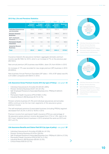# **2013 Key Life and Pensions Statistics**

|                                               | New Business $(\epsilon m)$            |                                        |                                   | Total                                               | All                                |
|-----------------------------------------------|----------------------------------------|----------------------------------------|-----------------------------------|-----------------------------------------------------|------------------------------------|
|                                               | <b>Annual</b><br><b>Premium</b><br>(1) | <b>Single</b><br><b>Premium</b><br>(2) | A.P.E.<br>$(1) + 10%$<br>of $(2)$ | <b>Annual</b><br><b>Premium</b><br>$\epsilon$ m (3) | <b>Business</b><br>€m<br>$(2)+(3)$ |
| <b>Individual Assurances</b><br>and Annuities | 123.3                                  | 2116.5                                 | 335.0                             | 1207.3                                              | 3323.8                             |
| <b>Pension Scheme</b><br><b>Business</b>      | 228.4                                  | 2430.8                                 | 471.5                             | 1180.5                                              | 3611.3                             |
| Self-employed<br><b>Pensions</b> (Incl.PRSAs) | 57.6                                   | 1259.0                                 | 183.5                             | 370.2                                               | 1629.2                             |
| <b>Permanent Health</b><br>Insurance          | 16.3                                   | $-1.6$                                 | 16.1                              | 170.6                                               | 169.0                              |
| <b>Industrial Branch</b><br><b>Business</b>   | 0.0                                    | 0.0                                    | 0.0                               | 5.7                                                 | 5.7                                |
| <b>Total</b>                                  | 425.6                                  | 5804.7                                 | 1006.1                            | 2934.3                                              | 8739.0                             |

Insurance Ireland's life assurance members' aggregate domestic premium income was €8,739m for 2013, which is an increase of 7% on the previous year (€8,150m).

New annual premium (AP) business was €426m, down 2% from €434m in 2012.

An increase of 17% was recorded for new single premium (SP) business in 2013 (€5,805m).

New business Annual Premium Equivalent (AP sales + 10% of SP sales) rose 8% to €1,006m compared with €931m in 2012.

# **Life Assurance Gross Premium Income 2013 (by type of Policy) -** *see graph 1A*

- **•** Individual Assurances & Annuities €3,323.8m (38%)
- **•** Pension Scheme Business €3,611.3m (41.3%)
- **•** Self–Employed Pensions & Associated Business (Incl. PRSAs) €1,629.2m (18.6%)
- **•** Permanent Health Insurance (PHI) €169m (1.9%)
- **•** Industrial Branch (IB) Business €5.7m (0.1%)

Pension scheme business (41.3%) and individual assurances and annuities (38%) continue to be the two main segments of life assurance gross premium income.

The self-employed pensions & associated business (including PRSAs) segment decreased from 20.2% in 2012 to 18.6% in 2013.

Premium income from permanent health insurance (PHI) as a percentage of life assurance gross premium income decreased from 2.1% to 1.9%, back to its 2011 level. Industrial branch business in 2013 remained the same as 2012 and 2011 at 0.1%.

# **Life Assurance Benefits and Claims Paid 2013 (by type of policy) -** *see graph 1B*

- **•** Individual Assurances & Annuities €3,698.4m (41.5%)
- **•** Pension Scheme Business €3,470m (38.9%)
- **•** Self–Employed Pensions & Associated Business (Incl. PRSAs) €1,539.1m (17.2%)
- **•** Permanent Health Insurance (PHI) €126.7m (1.4%)
- **•** Industrial Branch (IB) Business €28.8m (0.3%)
- **•** Critical Illness €59.5m (0.7%)





- $\blacksquare$ Industrial Branch (IB) Business
- $\blacksquare$ Critical Illness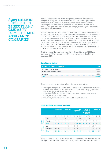# **8923 MILLION** EURO PAID IN **BENEFITS** AND **CLAIMS** BY DOMESTIC **LIFE ASSURANCE COMPANIES**

€8,922.5m in benefits and claims was paid by domestic life assurance companies during 2013, a decrease of 1% on 2012. These payments and benefits cover a wide range of products which take a number of forms, for example: one-off lump sum payments to policyholders in the event of serious illness; or, in the case of pensions, the payment of regular incomes to policyholders/beneficiaries.

The majority of claims were paid under individual assurance/annuity contracts (41.5%, up from 40.8% in 2012) and pension schemes (38.9%, a decrease from 39.3% in 2012), followed by self-employed pensions and associated business (17.2%, the same as in 2012 and 2011). Claims under individual assurance/ annuity contracts increased 1% to €3,698 in 2013. Claims under self-employed pensions and associated business also decreased 1% from €1,548m in 2012 to €1,539m in 2013, and pension scheme business decreased by 2% from €3,539m to €3,470m. There was also a 23% decrease in critical illness payouts (to €59.5m) following a 17% rise in 2012.

The total value of life assurance protection in force at the end of 2013 was estimated at €371bn, compared to €395bn at the end of 2012, which is a decrease of 6%.

# **Benefits and Claims**

.

| Benefits and Claims By Type $(\epsilon m)$ | €m     |
|--------------------------------------------|--------|
| <b>Surrenders and Maturities</b>           | 7581.6 |
| <b>Death / Critical Illness Claims</b>     | 7848   |
| <b>Annuities</b>                           | 556.1  |
| <b>Total</b>                               | 8922.5 |
|                                            |        |

The chart provides a breakdown of benefits and claims by type:

- **•** The largest category is benefits paid on policy surrenders and maturities, with €7,581m paid in 2013, (a decrease of 1% on 2012). This category represents 85% of total payments made last year;
- **•** Death and critical illness claims under protection contracts amounted to €785m, down 5% on 2012; and
- **•** Annuity payments totalled €556m in 2013, up 6.5% on 2012.

|                   |                 | <b>Brokers %</b> |                | Agents%        |                | <b>Tied</b><br><b>Agents %</b> |                         |                | <b>Employee</b><br>& Company<br><b>Represent-</b><br>atives % |               |    | Direct %      |                          |                |         |                |
|-------------------|-----------------|------------------|----------------|----------------|----------------|--------------------------------|-------------------------|----------------|---------------------------------------------------------------|---------------|----|---------------|--------------------------|----------------|---------|----------------|
|                   |                 | 11               | 12             | <sup>'13</sup> | 11'            | $12$ 13                        |                         |                | $11 \t12$                                                     | $^{\circ}13$  | 11 | $12^{\circ}$  | $^{\circ}13$             | 11             | $12$ 13 |                |
| Annual<br>Premium | Life            | 16               | 13             | 12             | $\mathcal{P}$  | 1                              | $\overline{1}$          | $\overline{7}$ | 11                                                            | 10            | 6  | 5             | 6                        | $\overline{1}$ |         | $\bigcap$      |
|                   | <b>Pensions</b> | 51               | 50             | 50             | $\overline{1}$ | $\overline{1}$                 | $\overline{1}$          | 6              | 7                                                             | - 6           | 8  | 9             | 10                       | 3              | 3       | $\overline{4}$ |
|                   | <b>Total</b>    | 67               | 63             | 62             | 3              | $\overline{2}$                 | $\overline{\mathbf{2}}$ | 13             | 18                                                            | 16            | 14 | 14            | - 16                     | 4              | 4       | 4              |
|                   | Life            | 6                | $\overline{4}$ | $\overline{4}$ | 1              | $\bigcirc$                     | $\bigcirc$              | 5              | $\overline{4}$                                                | 3             | 5  | 1             | 3                        | 23             | -31     | 41             |
| Single<br>Premium | <b>Pensions</b> | 39               |                | 35 30          | 1              | 1                              | $\overline{1}$          | 3              | 3                                                             | $\mathcal{P}$ | 3  | $\mathcal{P}$ | $\overline{\phantom{0}}$ | 15             | 19      | -13            |
|                   | <b>Total</b>    | 45               | 39             | 34             | $\overline{2}$ |                                | $\mathbf{1}$            | 8              | 7                                                             | 5             | 8  | 3             | 5                        | 38             |         | 50 54          |

# **Sources of Life Assurance Business**

The chart above provides a breakdown of the proportion of new business written through the various sales channels. In 2013, brokers' new business market share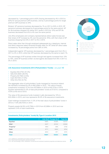decreased by 1 percentage point to 62% (having decreased by 4% in 2012 to 63%) for annual premium (AP) business, and by 5 percentage points for single premium (SP) business to 34%.

Brokers' AP pensions business decreased by 1% on 2011 to 50% in 2013. SP pensions business decreased by 9 percentage points for the same period. AP for life business dropped 4% below 2011 levels in 2013 (to 12%) and SP life business decreased from 6% to 4% over the same period.

Life office employees and company representatives (direct sales forces) saw their share of AP increase by 2% over the period (to 16%), with their share of SP business dropping from 8% in 2011 to 5% in 2013.

Direct sales other than through employed salespeople (e.g. telephone, internet and direct response sales) remained broadly static for AP, whilst SP direct sales increased by 16 percentage points from 38% to 54%.

Independent agents' AP business decreased by 1 percentage point from 3% in 2011 to 2% in 2013, while their SP business decreased by the same to reach 1%.

The percentage of AP business written through tied agents increased from 13% to 16%, while SP business written via tied agents decreased from 8% in 2011 to 5% in 2013.

# **Life Assurance Investments 2013 (Policyholders' Funds) -** *see graph 1C*

- **•** Equities €42,273m (51.4%)
- **•** Gilts €23,359m (28.4%)
- **•** Property €2,758m (3.4%)
- **•** Cash €9,704m (11.8%)
- **•** Other €4,215m (5.1%)

The aggregate value of policyholders' funds managed by Insurance Ireland life members increased by 4% to €82,309m in 2013. The value of equity investments increased 12.2% from €37,665m in 2012 to €42,273m in 2013. Equities represented 51.4% of total policyholders' funds at 31/12/13, compared to 47.6% at the end of 2012.

The value of life assurance funds invested in gilts decreased by 10% to €23,359m in 2013, and now represents 28.4% of life assurance investments.

Cash holdings increased from 11.2% of the total value of policyholders' funds in 2012 to 11.8% (€9,704m) in 2013.

Property assets fell 8% to €2,758m in 2013 from €2,999m in 2012 and now represent 3.4% of total investments.

# **Investments (Policyholders' funds) By Type & Location 2013**

|                       | Irish $\epsilon$ m | <b>Foreign €m</b> | Total $\epsilon$ m |
|-----------------------|--------------------|-------------------|--------------------|
| Equities <sup>1</sup> | 6985               | 35288             | 42273              |
| Gilts <sup>2</sup>    | 3227:              | 20132             | 23359              |
| Property <sup>3</sup> | 1860               | 898               | 2758               |
| Cash                  | 3771               | 5933              | 9704               |
| <b>Other</b>          | 3244               | 971               | 4215               |
| <b>Total</b>          | 19087              | 63222             | 82309              |

1 Inc. preference, guaranteed and ordinary stocks and unit trusts<br>2 Inc. Government, local & public authority securities<br>3 Inc. own use buildings, office, residential, commercial and individual investment properties and de

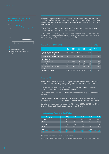

Total Premium Income



The preceding table illustrates the breakdown of investments by location. 23% of investments were in Ireland in 2013. The value of domestic investments at the end of 2013 was €19,087m. Foreign investments in 2013 were €63,222m, 77% of total investments.

36.5% of Irish investments are in equities. 20% are in cash, with 17% in gilts. Property holdings were 10% of Irish investments in 2013.

56% of the foreign holdings are equities. The second largest foreign asset class is gilts at 32%. The proportion of foreign holdings invested in property was 1.4%. The percentage invested in cash was 9.4% in 2013.

| Market Trends  2009 - 2013                                |            |            |            |            |            |                |  |  |  |
|-----------------------------------------------------------|------------|------------|------------|------------|------------|----------------|--|--|--|
|                                                           | 2009<br>€m | 2010<br>€m | 2011<br>€m | 2012<br>€m | 2013<br>€m | 2009-2013<br>% |  |  |  |
| <b>Premium Income (Annual</b><br><b>Premium Business)</b> | 3923       | 3541       | 3246       | 3172       | 2934       | $-7.0$         |  |  |  |
| <b>Premium Income (All Business)</b>                      | 9346       | 9688       | 8486       | 8150       | 8739       | $-1.7$         |  |  |  |
| <b>New Business</b>                                       |            |            |            |            |            |                |  |  |  |
| <b>Annual Premiums</b>                                    | 611        | 529        | 448        | 434        | 426        | $-8.6$         |  |  |  |
| Single Premiums                                           | 5424       | 6147       | 5239       | 4978       | 5805       | 1.7            |  |  |  |
| Annual Premium Equivalent<br>(APE)                        | 1154       | 1143       | 972        | 931        | 1006       | $-3.4$         |  |  |  |
| <b>Benefits &amp; Claims</b>                              | 8576       | 8222       | 8736       | 8996       | 8923       | 1.0            |  |  |  |

There was a downward trend in aggregate premium income over the five year period 2009-2013 resulting in negative growth of -1.7% p.a. for this period.

New annual premium business decreased from €611m in 2009 to €426m in 2013, a decrease of 8.6% p.a. over the 5-year period.

On an annualised basis, new SP business expanded at 1.7% p.a. between 2009 and 2013.

New business on an Annual Premium Equivalent (APE) basis has fallen from €1,154m in 2009 to €1,006m in 2013, equivalent to a reduction of 3.4% p.a. over 5 years.

Benefits and claims paid increased from €8,576m in 2009 to €8,923m in 2013. Over the 5 year period claims payments grew by 1% p.a.

| <b>Asset Category</b> | 2009 | 2010 | 2011 | 2012 | 2013 |
|-----------------------|------|------|------|------|------|
| Equities <sup>1</sup> | 50.3 | 52.0 | 46.6 | 47.6 | 51.3 |
| Gilts <sup>2</sup>    | 26.8 | 26.2 | 31.3 | 32.7 | 28.4 |
| Property <sup>3</sup> | 5.7  | 5.4  | 5.1  | 3.8  | 3.4  |
| Cash                  | 11.0 | 10.6 | 11.1 | 11.2 | 11.8 |
| <b>Other</b>          | 6.2  | 5.8  | 5.9  | 47   | 5.1  |
| <b>Total</b>          |      |      |      |      |      |

1 Inc. preference, guaranteed and ordinary stocks and unit trusts<br>2 Inc. Government, local & public authority securities<br>3 Inc. own use buildings, office, residential, commercial and individual investment properties and de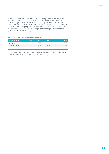Investment in equities as a proportion of total policyholders' funds increased between 2009 and 2010, fell from 52% in 2010 to 46.6% in 2011 and then increased again to reach 51.3% in 2013. Gilts dropped from 26.8% of total investments in 2009, to 26.2% in 2010, increased to 32.7% in 2012 and then fell to 28.4% in 2013. Property assets, which stood at 5.7% in 2009, declined over the period to 3.4% in 2013. Cash holdings increased slightly over the period (11% in 2009 to 11.8% in 2013).

# **Investment Trends (by Location) 2009-2013**

| % of total value       | 2009 | 2010 | 2011' | 2012 | 2013 |
|------------------------|------|------|-------|------|------|
| In Ireland             | 36.3 | 33.2 | 39.2  | 55.9 | 23.2 |
| <b>Outside Ireland</b> | 63.  | 66.8 | 60.8  | 44.1 | 76.8 |

Policyholders' funds invested in Ireland decreased from 36% in 2009 to 23% in 2013. Approximately 77% of assets by value are foreign.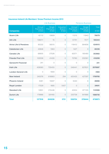# Life Business **Pensions Business Companies** Annual Premiums €'000 **Single Premiums** €'000 Industrial **Branch** €'000 Annual **Premiums** €'000 **Single Premiums** €'000 **Total** €'000 **Acorn Life 10809 0 11215 11943 76079 Ark Life 106011** 15 0 51741 7577 **165344 Aviva Life & Pensions** 95332 56515 0 118412 364656 **634915 Caledonian Life 106346 1063 1227 1427 1427 Canada Life** 68905 27526 0 62071 195480 **353982 Friends First Life** 102008 41430 0 70780 202081 416299 **Genworth Financial 241 241 0 0 0 0 241 Irish Life 459060** 735455 0 546441 837631 **2578587 London General Life**  $\begin{array}{ccc} 0 & 0 & -1693 \end{array}$  **1693** 0 0 **-1693 New Ireland 1709785** 245076 616883 294 420435 427097 **1709785 Phoenix Ireland** 15081 15937 0 5040 8 **26066 Royal London** 17529 1685 5427 0 0 **24641 Standard Life** 12651 215446 0 42454 871105 **1141656 Zurich Life 179966** 324165 0 220738 841866 **1566735 Total 1377818 2045236 5721 1550754 3759444 8738973**

# **Insurance Ireland Life Members' Gross Premium Income 2013**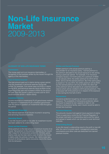# **Non-Life Insurance Market**  2009-2013

The money paid out to an insurance intermediary in recognition of the business written by the insurer through the agency of the intermediary.

The total amount paid out in claims during a given period, plus the movement in technical reserves during that period. For example, if an insurer pays out €10m in claims during 2013, and technical reserves stood at €50m at the beginning of the year and increase to €55m by the end of the year, then the insurer's claims incurred cost for 2013 would be €15m (€10m + €(55m-50m)).

Income received on investments PLUS gains/losses realised on disposal of investments PLUS unrealised gains/losses over the period in question on investments held throughout the period.

The internal expenses of an insurer incurred in acquiring and servicing insurance business.

A non-life insurer's profit or loss after its investment income has been added to its underwriting result.

Gross premium is the total amount of premium income of an insurer. Net premium is the premium retained by the insurer after it pays for its reinsurance protection. Similarly, gross claims costs are the total claims costs for which the insurer is liable under the policies it issues. Net claims costs take account of reinsurance claims recoveries due to the insurer from its reinsurers.

Written premium is the actual premium paid by a policyholder for an insurance policy. Earned premium is the premium allocated to the actual exposure to risk arising during a particular period. For example, if an insurance company issues a 12-month policy for a premium of €500 on 1st January 2013, the written premium for 2013 will be €500, and so will the earned premium. But if the same policy is issued on 1st July 2013, the written premium will be €500, but the earned premium will only be €250; the other half of the premium will be allocated to an unearned premium reserve which will be credited to 2014 earned premium. This is because half of the premium is in respect of the exposure to loss during the first half of 2014.

Insurance protection bought by an insurer to limit its own exposure. The availability of reinsurance protection allows an insurer to expand its own capacity to take on risk. Without a reinsurance facility, each insurer would be able to accept less business.

The amounts insurers hold against future payment of claims. There is supervisory control by the Financial Regulator of the proper estimation of outstanding claims and the nature and spread of assets which can be used to cover technical reserves.

A non-life insurer's underwriting result is the profit or loss left after the cost of incurred claims, management expenses, commissions and other costs are deducted from earned premium income.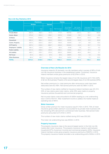|                             |          | <b>Premiums</b>            |                            | <b>Claims</b>                |                                   |                                              |                                             |                                                |  |
|-----------------------------|----------|----------------------------|----------------------------|------------------------------|-----------------------------------|----------------------------------------------|---------------------------------------------|------------------------------------------------|--|
|                             | Written  |                            | <b>Earned</b>              |                              |                                   |                                              |                                             |                                                |  |
| <b>Class</b>                | Gross €m | <b>Net</b><br>$\epsilon$ m | <b>Net</b><br>$\epsilon$ m | Net Incurred<br>$\epsilon$ m | No of New<br>Claims No-<br>tified | Net Under-<br>writing Result<br>$\epsilon$ m | <b>Estimated</b><br>Investment<br>Income €m | <b>Estimated Net</b><br>Operating<br>Result €m |  |
| <b>Private Motor</b>        | 836.8    | 768.5                      | 757.2                      | 777.9                        | 183759                            | $-234.5$                                     | 43.7                                        | $-190.8$                                       |  |
| Comm. Motor                 | 275.8    | 250.3                      | 256.1                      | 207.8                        | 51563                             | $-19.1$                                      | 18.2                                        | $-0.9$                                         |  |
| <b>All Motor</b>            | 1112.6   | 1018.8                     | 1013.3                     | 985.7                        | 235322                            | $-253.6$                                     | 61.9                                        | $-191.7$                                       |  |
| Household                   | 480.3    | 396.2                      | 434.0                      | 209.8                        | 55105                             | 53.9                                         | 6.9                                         | 60.8                                           |  |
| Comm. Property              | 357.2    | 223.3                      | 232.7                      | 135.8                        | 45319                             | 0.7                                          | 9.8                                         | 10.4                                           |  |
| <b>All Property</b>         | 837.5    | 619.5                      | 666.7                      | 345.6                        | 100424                            | 54.6                                         | 16.7                                        | 71.2                                           |  |
| <b>Employers' Liability</b> | 160.2    | 132.9                      | 134.1                      | 93.3                         | 6148                              | $-7.8$                                       | 12.1                                        | 4.3                                            |  |
| <b>Public Liability</b>     | 301.9    | 246.8                      | 240.9                      | 209.5                        | 14455                             | $-38.5$                                      | 37.3                                        | $-1.2$                                         |  |
| <b>All Liability</b>        | 462.1    | 379.7                      | 375.0                      | 302.8                        | 20603                             | $-46.3$                                      | 49.4                                        | 3.1                                            |  |
| <b>PA/Travel</b>            | 81.0     | 65.2                       | 67.4                       | 37.8                         | 30674                             | 13.0                                         | 1.0                                         | 14.0                                           |  |
| <b>Other Business</b>       | 80.4     | 65.7                       | 73.1                       | 20.4                         | 54191                             | 21.1                                         | 1.5                                         | 22.5                                           |  |
| <b>TOTAL</b>                | 2573.6   | 2148.9                     | 2195.5                     | 1692.3                       | 441214                            | $-211.2$                                     | 130.5                                       | $-80.9$                                        |  |

# **Non-Life Key Statistics 2013**

# **Overview of Non-Life Results for 2013**

Insurance Ireland's 20 domestic non-life members write in excess of 95% of Irish non-life insurance business in the established market. Combined, Insurance Ireland members wrote gross premiums of €2,574m in 2013.

Motor insurance remains the largest class of non-life insurance at €1,113m (43% of all non-life business). Property is the second largest class of non-life business (33%).

Net written premiums (i.e. total premiums after reinsurance costs have been deducted) were €2,149m. Net earned premiums were €2,196m in 2013.

The number of new claims notified to Insurance Ireland members was 441,214. 53% of new claims were motor claims, while 23% were made on property insurance policies (household and commercial property).

Net incurred claims costs amounted to €1,693m leading to a net underwriting loss in 2013 of €211m. After investment income is added, the market made an operating loss of €81m.

# **Motor Insurance**

Gross written premium for motor insurance was €1,113m in 2013. 75% of motor insurance gross written premium is accounted for by private motor business with the remaining 25% derived from commercial motor business. Net earned motor premiums amounted to €1,013m in 2013.

The number of new motor claims notified during 2013 was 235,322.

The motor net underwriting loss was €254m in 2013.

# **Property Insurance**

The property insurance class is the second largest sector in the Irish non-life market after motor insurance. The property insurance market is split between household (57% of premium income) and commercial property (43%). Insurance Ireland members wrote gross property insurance premiums of €837m in 2013. The property insurance market recorded a net underwriting profit of €55m in 2013.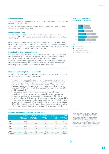# **Liability Insurance**

Insurance Ireland members wrote gross liability premiums of €462m in 2013. Net earned premium was €375m.

Net incurred claims amounted to €303m in 2013. Liability insurers made a net underwriting loss of €46m in 2013.

# **Other Non-Life Lines**

Insurance Ireland members wrote €81m of personal accident and travel insurance in 2013. This class of business generated a net underwriting profit of €13m in 2013.

Other classes of non-life business, including marine, aviation and transit (MAT), credit and suretyship, other financial loss covers and legal expenses insurance accounted for €80m in gross written premium in 2013. These classes of business produced a net underwriting profit of €21m in 2013.

# **Investing Non-Life Premium Income**

Non-life insurers' technical reserves are mainly invested in cash and gilts, with only approximately 17% invested in equities. This is because of the need for security balanced by liquidity in order to meet claims and other short-term liabilities. This investment approach is in contrast to the investment portfolios of life and pensions companies, which are principally invested in assets that historically give a better long-term return, in particular equities.

# **Insurance Operating Ratios -** *see graph 2A*

A number of key ratios are used to assess the cost of claims, and the efficiency and profitability of non-life insurance business.

- **•** The claims ratio measures the cost of claims incurred as a proportion of premiums earned. In 2013 the Insurance Ireland non-life market produced a net claims ratio of 77%. In other words, claims cost 77 cent out of every €1 earned in premium. The claims ratio varied between sectors: in motor insurance it was 97% while in liability and property the claims ratio was 81% and 52% respectively.
- **•** The management expenses and commission ratios are calculated by comparing the internal management expenses of insurance companies and commissions paid to intermediaries with premiums. In 2013 the net commission ratio was 11% and the net management expenses ratio was 22%.
- **•** The net combined or operating ratio combines the claims, commissions and management expenses ratios. The operating ratio for the non-life market was 110% in 2013. In other words, this meant that the non-life market made a loss of 10 cents on underwriting insurance for every €1 of premium in 2013.

# **Non-Life Insurance Market Results 2009-2013**

|                | <b>Gross</b><br><b>Written Pre-</b><br>mium $\epsilon$ m | Net Un-<br>derwriting<br><b>Result €m</b> | <b>Investment</b><br>Income,<br>€m | <b>Operating</b><br><b>Result</b><br>€m | Profit:<br><b>Premium %</b><br>€m |
|----------------|----------------------------------------------------------|-------------------------------------------|------------------------------------|-----------------------------------------|-----------------------------------|
| 2009           | 3752                                                     | $-124$                                    | 317                                | 193                                     | 5.14%                             |
| 2010           | 3702                                                     | $-103$                                    | 169                                | 66                                      | 1.78%                             |
| 2011           | 3554                                                     | 213                                       | 191                                | 404                                     | 11.37%                            |
| 2012           | 3331                                                     | $-87$                                     | 278                                | 191                                     | 5.73%                             |
| 2013           | 2574                                                     | $-211$                                    | 130                                | $-81$                                   | $-3.15%$                          |
| <b>5 Years</b> | 16913                                                    | $-312$                                    | 1085                               | 773                                     | 4.57%                             |

# **NON-LIFE INSURANCE OPERATING RATIOS 2013**



Claims Ratio %

- Commission Ratio %
- Management Expenses %
- Combined Operating Ratio %

*The data for 2009-2013 is taken from the Central Bank's Insurance Statistical Review (2009) and Insurance Statistics (2010 -2012). These publications contain returns for all insurers. The data for 2013 is based on data supplied by Insurance Ireland members. As the ISR and IS publications do not provide a breakdown for every class of business, the data in the seven subsequent charts has been created from data supplied by Insurance Ireland members for all years. This explains the discrepancies between the*  first and the seven subsequent charts.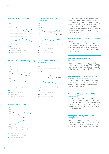# **PRIVATE MOTOR 2009 - 2013**



# **COMMERCIAL MOTOR 2009 - 2013**



# **HOUSEHOLD 2009 - 2013**



**19**



## **EMPLOYER'S LIABILITY 2009 - 2013**





 $\bullet$ Net Underwriting Result The chart illustrates the net underwriting result, investment income attributable to the underwriting account and the operating result for the non-life business market for the years 2009 to 2013. After investment income is taken into account, the 20 non-life insurers made a net combined operating loss of €81m in 2013.

# **Private Motor 2009 — 2013 -** *see graph 2B*

Net Earned Premium (NEP) in the private motor market was €757m in 2013. Claims costs fluctuated between the years 2009- 2013, peaking at €911m in 2009 before falling in subsequent years and rising again to €778m in 2013.

# **Commercial Motor 2009 – 2013 -** *see graph 2C*

Net earned premium in the commercial motor insurance market was €256m in 2013. Net incurred claims costs have fluctuated during this period, amounting to €208m in 2013.

# **Household 2009 – 2013 -** *see graph 2D*

Net earned premium for household insurance peaked at €510m in 2010 and was €434m in 2013. Net incurred claims costs peaked at €508m in 2009 and fell back to €210m in 2013.

# **Commercial Property 2009 – 2013 -** *see graph 2E*

The underwriting result for insurers of commercial property deteriorated to a net underwriting profit of €1m in 2013 following a net underwriting profit of €8m in 2012. Net incurred claims costs increased to €136m from €115m in 2012.

# **Employers' Liability 2009 – 2013 -** *see graph 2F*

Net earned premium increased to €134m in 2013 from €130m in 2012. The underwriting result improved to a net underwriting loss of €8m from a net underwriting loss of €13m in 2012.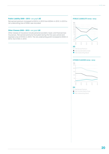# **Public Liability 2009 – 2013 -** *see graph 2G*

Net earned premium increased to €241m in 2013 from €204m in 2012. In 2013 a net underwriting loss of €38m was recorded.

# **Other Classes 2009 – 2013 -** *see graph 2H*

Other classes of insurance include personal accident, travel, and financial loss insurances. Net earned premiums fluctuated during this five-year period and reached a low of €141m in 2013. The net underwriting profit increased to €34m in 2013, from €19m in 2012.

# **PUBLIC LIABILITY 2009 - 2013**



# **OTHER CLASSES 2009 - 2013**





**O** Net Underwriting Result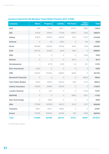| <b>Company</b>             | <b>Motor</b>   | <b>Property</b> | <b>Liability</b> | <b>PA/Travel</b> | <b>Other</b><br><b>Classes</b> | <b>Total</b> |
|----------------------------|----------------|-----------------|------------------|------------------|--------------------------------|--------------|
| <b>ACE</b>                 | 393            | 17025           | 16871            | 29737            | 9892                           | 73918        |
| <b>AIG</b>                 | 47616          | 30970           | 77749            | 10872            | 1063                           | 168270       |
| <b>Allianz</b>             | 91823          | 144972          | 62526            | 4410             | 11707                          | 315438       |
| <b>Amtrust</b>             | $\bigcirc$     | 29              | 6164             | $\bigcirc$       | 133                            | 6326         |
| <b>Aviva</b>               | 160069         | 132524          | 43706            | 4525             | 1579                           | 342402       |
| <b>AXA</b>                 | 243119         | 61022           | 2619             | 1934             | $\bigcirc$                     | 308694       |
| <b>DAS</b>                 | $\overline{0}$ | $\bigcirc$      | $\bigcirc$       | $\bigcirc$       | 7540                           | 7540         |
| <b>DeCare</b>              | $\bigcirc$     | $\sqrt{a}$      | $\bigcirc$       | 9213             | $\bigcirc$                     | 9213         |
| <b>Ecclesiastical</b>      | $\mathbf 1$    | 6719            | 4100             | 23               | 531                            | 11374        |
| <b>Euro Insurances</b>     | 5320           | $\overline{0}$  | $\bigcirc$       | $\bigcirc$       | $\bigcirc$                     | 5320         |
| <b>FBD</b>                 | 157422         | 122305          | 65660            | 5808             | $\bigcirc$                     | 351195       |
| <b>Genworth Financial</b>  | $\bigcirc$     | $\bigcirc$      | $\bigcirc$       | $\bigcirc$       | 19633                          | 19633        |
| <b>Irish Public Bodies</b> | 6022           | 23873           | 55545            | 929              | 2175                           | 88544        |
| <b>Liberty Insurance</b>   | 110243         | 33993           | 29739            | $\bigcirc$       | $\bigcirc$                     | 173975       |
| <b>London General</b>      | $\bigcirc$     | 307             | $\bigcirc$       | $\bigcirc$       | 11150                          | 11457        |
| <b>MAPFRE</b>              | $\bigcirc$     | $\bigcirc$      | $\bigcirc$       | 6682             | 5021                           | 11703        |
| <b>New Technology</b>      | $\bigcirc$     | 3590            | $\bigcirc$       | $\bigcirc$       | $\sqrt{a}$                     | 3590         |
| <b>RSA</b>                 | 173169         | 143356          | 40213            | 6143             | 2127                           | 365008       |
| <b>Travelers</b>           | 6621           | 10811           | 13835            | $\bigcirc$       | $\bigcirc$                     | 31267        |
| Zurich                     | 110768         | 106000          | 43406            | 738              | 7836                           | 268748       |
| <b>Total</b>               | 1112586        | 837496          | 462133           | 81014            | 80387                          | 2573615      |

# **Insurance Ireland Non-life Members' Gross Written Premium 2013\* (€'000)**

*\*Excludes Health Insurance*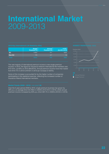# **International Market**  2009-2013

| 2013 Key International Life Statistics (€m) |                                |                              |                                 |  |  |  |  |  |  |
|---------------------------------------------|--------------------------------|------------------------------|---------------------------------|--|--|--|--|--|--|
|                                             | <b>Single</b><br>Premium $(1)$ | <b>Annual</b><br>Premium (2) | A.P.E.<br>$(2) + 10\%$ of $(1)$ |  |  |  |  |  |  |
| EU                                          | 11952                          | 411                          | 1606                            |  |  |  |  |  |  |
| Non-EU                                      | 179                            | 07                           | 19                              |  |  |  |  |  |  |
| Total                                       | 12131                          | 419                          |                                 |  |  |  |  |  |  |

The vast majority of international premium income is new single premium income. In 2013, the figure for Insurance Ireland's International life members was €12,131m, up 82% on 2012 (€6,657m). Annual premium income more than tripled from €101.7m in 2012 to €412m in 2013 (an increase of 305%).

Some of this increase is accounted for by the higher number of companies participating in this statistical exercise, reflecting the increased number of Insurance Ireland international members.

Over the 5-year period 2009 to 2013, single premium business has grown by 26% p.a. on average (from €4,790m in 2009 to €12,131m in 2013), whilst annual premium income increased by 50% p.a. (from €81.7m in 2009 to €412m in 2013).

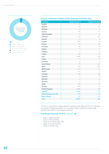

# **Country of Business Analysis of New Business Premiums (€m)**

| <b>Countries</b>               | <b>Single Premium</b> | <b>Regular Premium</b> |
|--------------------------------|-----------------------|------------------------|
| <b>Austria</b>                 | $\circ$               | $\overline{0}$         |
| <b>Belgium</b>                 | 74                    | 0.3                    |
| <b>Bulgaria</b>                | $\overline{0}$        | $\overline{0}$         |
| Cyprus                         | 23                    | 0.1                    |
| <b>Czech Republic</b>          | $\circ$               | $\mathbf 0$            |
| <b>Denmark</b>                 | 0.1                   | 0.01                   |
| <b>Estonia</b>                 | $\overline{0}$        | $\overline{0}$         |
| <b>Finland</b>                 | 267                   | 15                     |
| France                         | 73                    | 0.2                    |
| Germany                        | 62                    | 53                     |
| <b>Greece</b>                  | $\overline{7}$        | $\mathbf 0$            |
| Hungary                        | $\overline{0}$        | $\overline{0}$         |
| <b>Ireland</b>                 | 24                    | 6                      |
| Italy                          | 7,948                 | 104                    |
| Latvia                         | $\circ$               | $\mathcal O$           |
| Lithuania                      | $\circ$               | $\overline{0}$         |
| Luxembourg                     | 51                    | 0.3                    |
| <b>Malta</b>                   | 52                    | 0.01                   |
| <b>Netherlands</b>             | 0.5                   | 0.1                    |
| Poland                         | 0.4                   | $\circ$                |
| Portugal                       | 22                    | 38                     |
| Romania                        | $\overline{0}$        | $\circ$                |
| Slovakia                       | $\circ$               | $\overline{0}$         |
| Slovenia                       | $\mathbf 0$           | $\circ$                |
| Spain                          | 210                   | 71                     |
| Sweden                         | 355                   | 24                     |
| <b>United Kingdom</b>          | 2,785                 | 99                     |
| <b>Total EU</b>                | 11,952                | 411                    |
| <b>Rest of Europe (non-EU)</b> | 112                   | 0.1                    |
| <b>Rest of World</b>           | 67                    | 0.5                    |
| <b>Total</b>                   | 12,131                | 412                    |

The top 2 countries for single premium business were Italy and the UK, followed by Sweden, Finland and Spain. EU countries made up 98.5% of total single premium and 99% of total regular premium.

# **New Single Premiums for 2013 -** *see graph 3B*

- **•** Class I: €397m (3.3%)
- **•** Class II: €5m (0.04%)
- **•** Class III: €11,604m (95.7%)
- **•** Class IV: €1.5m (0.01%)
- **•** Class V: €124m (1%)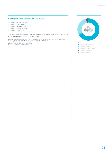# **New Regular Premiums for 2013 -** *see graph 3C*

- **•** Class I: €275m (66.7%)
- **•** Class II: €8m (1.9%)
- Class III: €114m (27.8%)<br>• Class IV: €14m (3.3%)
- Class IV: €14m (3.3%)<br>• Class V: €1m (0.2%)
- **•** Class V: €1m (0.2%)

The vast majority of international single premium income (96%) is represented by unit linked single premium business (Class III).

Class I: Life Assurance and contracts to pay annuities on human life, but excluding contracts within Classes II and III.<br>Class II: Contracts of insurance to provide a sum on marriage or birth of a child.<br>Class III: Contrac

- 
- 
- *Class VI: Capital redemption operations*



- $\bullet$ Class II: €8m (1.9%)
- $\bullet$ Class III: €114m (27.8%)
- Class IV:  $\epsilon$ 14m (3.3%)
- Class V:  $f(m)$  (0.2%)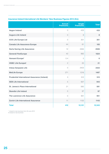|                                                     | <b>Annual</b><br><b>Premiums</b> | <b>Single</b><br><b>Premiums</b> | <b>Total</b>    |
|-----------------------------------------------------|----------------------------------|----------------------------------|-----------------|
| <b>Aegon Ireland</b>                                | $\overline{O}$                   | 433                              | 433             |
| <b>Augura Life Ireland</b>                          | $\overline{O}$                   | 8                                | 8               |
| <b>AXA Life Europe Ltd</b>                          | $\overline{O}$                   | 301                              | 301             |
| <b>Canada Life Assurance Europe</b>                 | 44                               | 61                               | 105             |
| <b>Darta Saving Life Assurance</b>                  | 12                               | 2494                             | 2506            |
| <b>Generali PanEurope</b>                           | 42                               | 982                              | 1024            |
| <b>Hansard Europe*</b>                              | 0.4                              | 5                                | $6\phantom{1}6$ |
| <b>HSBC Life Europe#</b>                            | $\overline{c}$                   | 20                               | 21              |
| <b>Intesa Sanpaolo Life</b>                         | $\overline{O}$                   | 2423                             | 2423            |
| <b>MetLife Europe</b>                               | 271                              | 1216                             | 1487            |
| <b>Prudential International Assurance (Ireland)</b> | 3                                | 512                              | 515             |
| <b>SEB Life International</b>                       | 5                                | 937                              | 943             |
| <b>St. James's Place International</b>              | 21                               | 560                              | 581             |
| <b>Skandia Life Ireland</b>                         | $\overline{0}$                   | 97                               | 97              |
| The Lawrence Life Assurance                         | $\bigcirc$                       | 951                              | 951             |
| <b>Zurich Life International Assurance</b>          | 11                               | 1132                             | 1143            |
| <b>Total</b>                                        | 412                              | 12,131                           | 12,543          |

# **Insurance Ireland International Life Members' New Business Figures 2013 (€m)**

*\* closed to new business from 30 June 2013*

*# closed to new business*